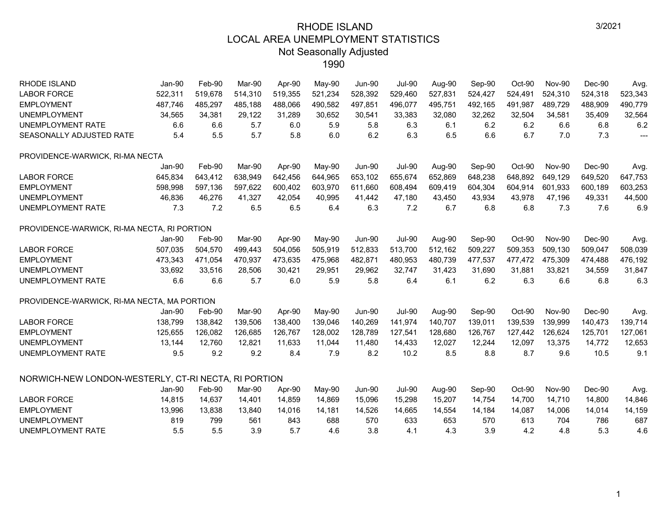| RHODE ISLAND                                         | Jan-90   | Feb-90  | Mar-90  | Apr-90  | May-90  | <b>Jun-90</b> | <b>Jul-90</b> | Aug-90  | Sep-90  | Oct-90  | <b>Nov-90</b> | Dec-90  | Avg.           |
|------------------------------------------------------|----------|---------|---------|---------|---------|---------------|---------------|---------|---------|---------|---------------|---------|----------------|
| <b>LABOR FORCE</b>                                   | 522,311  | 519,678 | 514,310 | 519,355 | 521,234 | 528,392       | 529,460       | 527,831 | 524,427 | 524,491 | 524,310       | 524,318 | 523,343        |
| <b>EMPLOYMENT</b>                                    | 487,746  | 485,297 | 485,188 | 488,066 | 490,582 | 497,851       | 496,077       | 495,751 | 492,165 | 491,987 | 489,729       | 488,909 | 490,779        |
| <b>UNEMPLOYMENT</b>                                  | 34,565   | 34,381  | 29,122  | 31,289  | 30,652  | 30,541        | 33,383        | 32,080  | 32,262  | 32,504  | 34,581        | 35,409  | 32,564         |
| UNEMPLOYMENT RATE                                    | 6.6      | 6.6     | 5.7     | 6.0     | 5.9     | 5.8           | 6.3           | 6.1     | 6.2     | 6.2     | 6.6           | 6.8     | 6.2            |
| SEASONALLY ADJUSTED RATE                             | 5.4      | 5.5     | 5.7     | 5.8     | 6.0     | 6.2           | 6.3           | 6.5     | 6.6     | 6.7     | 7.0           | 7.3     | $\overline{a}$ |
| PROVIDENCE-WARWICK, RI-MA NECTA                      |          |         |         |         |         |               |               |         |         |         |               |         |                |
|                                                      | Jan-90   | Feb-90  | Mar-90  | Apr-90  | May-90  | <b>Jun-90</b> | <b>Jul-90</b> | Aug-90  | Sep-90  | Oct-90  | <b>Nov-90</b> | Dec-90  | Avg.           |
| <b>LABOR FORCE</b>                                   | 645,834  | 643,412 | 638,949 | 642,456 | 644,965 | 653,102       | 655,674       | 652,869 | 648,238 | 648,892 | 649,129       | 649,520 | 647,753        |
| <b>EMPLOYMENT</b>                                    | 598,998  | 597,136 | 597,622 | 600,402 | 603,970 | 611,660       | 608,494       | 609,419 | 604,304 | 604,914 | 601,933       | 600,189 | 603,253        |
| <b>UNEMPLOYMENT</b>                                  | 46,836   | 46,276  | 41,327  | 42,054  | 40,995  | 41,442        | 47,180        | 43,450  | 43,934  | 43,978  | 47,196        | 49,331  | 44,500         |
| <b>UNEMPLOYMENT RATE</b>                             | 7.3      | 7.2     | 6.5     | 6.5     | 6.4     | 6.3           | 7.2           | 6.7     | 6.8     | 6.8     | 7.3           | 7.6     | 6.9            |
| PROVIDENCE-WARWICK, RI-MA NECTA, RI PORTION          |          |         |         |         |         |               |               |         |         |         |               |         |                |
|                                                      | Jan-90   | Feb-90  | Mar-90  | Apr-90  | May-90  | <b>Jun-90</b> | <b>Jul-90</b> | Aug-90  | Sep-90  | Oct-90  | <b>Nov-90</b> | Dec-90  | Avg.           |
| <b>LABOR FORCE</b>                                   | 507,035  | 504,570 | 499,443 | 504,056 | 505,919 | 512,833       | 513,700       | 512,162 | 509,227 | 509,353 | 509,130       | 509,047 | 508,039        |
| <b>EMPLOYMENT</b>                                    | 473,343  | 471,054 | 470,937 | 473,635 | 475,968 | 482,871       | 480,953       | 480,739 | 477,537 | 477,472 | 475,309       | 474,488 | 476,192        |
| <b>UNEMPLOYMENT</b>                                  | 33,692   | 33,516  | 28,506  | 30,421  | 29,951  | 29,962        | 32,747        | 31,423  | 31,690  | 31,881  | 33,821        | 34,559  | 31,847         |
| UNEMPLOYMENT RATE                                    | 6.6      | 6.6     | 5.7     | 6.0     | 5.9     | 5.8           | 6.4           | 6.1     | 6.2     | 6.3     | 6.6           | 6.8     | 6.3            |
| PROVIDENCE-WARWICK, RI-MA NECTA, MA PORTION          |          |         |         |         |         |               |               |         |         |         |               |         |                |
|                                                      | $Jan-90$ | Feb-90  | Mar-90  | Apr-90  | May-90  | <b>Jun-90</b> | <b>Jul-90</b> | Aug-90  | Sep-90  | Oct-90  | <b>Nov-90</b> | Dec-90  | Avg.           |
| <b>LABOR FORCE</b>                                   | 138.799  | 138,842 | 139,506 | 138.400 | 139,046 | 140,269       | 141,974       | 140,707 | 139,011 | 139,539 | 139.999       | 140,473 | 139,714        |
| <b>EMPLOYMENT</b>                                    | 125,655  | 126,082 | 126,685 | 126,767 | 128,002 | 128,789       | 127,541       | 128,680 | 126,767 | 127,442 | 126,624       | 125,701 | 127,061        |
| <b>UNEMPLOYMENT</b>                                  | 13,144   | 12,760  | 12,821  | 11,633  | 11,044  | 11,480        | 14,433        | 12,027  | 12,244  | 12,097  | 13,375        | 14,772  | 12,653         |
| UNEMPLOYMENT RATE                                    | 9.5      | 9.2     | 9.2     | 8.4     | 7.9     | 8.2           | 10.2          | 8.5     | 8.8     | 8.7     | 9.6           | 10.5    | 9.1            |
| NORWICH-NEW LONDON-WESTERLY, CT-RI NECTA, RI PORTION |          |         |         |         |         |               |               |         |         |         |               |         |                |
|                                                      | Jan-90   | Feb-90  | Mar-90  | Apr-90  | May-90  | <b>Jun-90</b> | <b>Jul-90</b> | Aug-90  | Sep-90  | Oct-90  | <b>Nov-90</b> | Dec-90  | Avg.           |
| <b>LABOR FORCE</b>                                   | 14,815   | 14,637  | 14,401  | 14.859  | 14,869  | 15,096        | 15,298        | 15,207  | 14,754  | 14,700  | 14,710        | 14,800  | 14,846         |
| <b>EMPLOYMENT</b>                                    | 13,996   | 13,838  | 13,840  | 14,016  | 14,181  | 14,526        | 14,665        | 14,554  | 14,184  | 14,087  | 14,006        | 14,014  | 14,159         |
| <b>UNEMPLOYMENT</b>                                  | 819      | 799     | 561     | 843     | 688     | 570           | 633           | 653     | 570     | 613     | 704           | 786     | 687            |
| <b>UNEMPLOYMENT RATE</b>                             | 5.5      | 5.5     | 3.9     | 5.7     | 4.6     | 3.8           | 4.1           | 4.3     | 3.9     | 4.2     | 4.8           | 5.3     | 4.6            |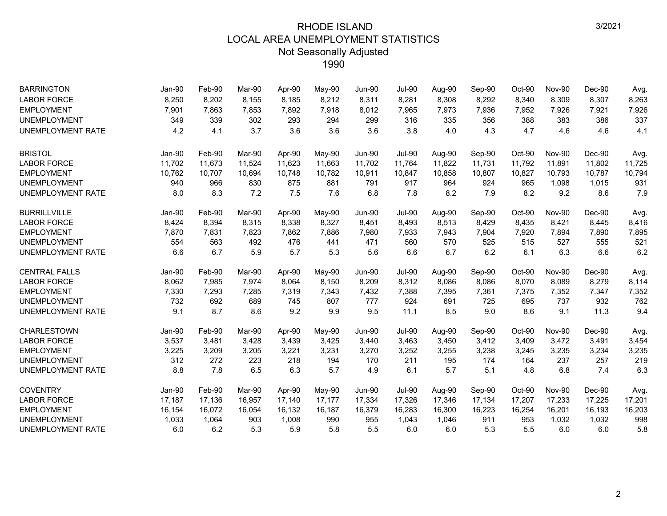| <b>BARRINGTON</b>        | Jan-90   | Feb-90 | Mar-90 | Apr-90 | $May-90$ | <b>Jun-90</b> | <b>Jul-90</b> | Aug-90 | Sep-90 | Oct-90 | <b>Nov-90</b> | Dec-90 | Avg.   |
|--------------------------|----------|--------|--------|--------|----------|---------------|---------------|--------|--------|--------|---------------|--------|--------|
| <b>LABOR FORCE</b>       | 8,250    | 8,202  | 8,155  | 8,185  | 8,212    | 8,311         | 8,281         | 8,308  | 8,292  | 8,340  | 8,309         | 8,307  | 8,263  |
| <b>EMPLOYMENT</b>        | 7,901    | 7,863  | 7,853  | 7,892  | 7,918    | 8,012         | 7,965         | 7,973  | 7,936  | 7,952  | 7,926         | 7,921  | 7,926  |
| <b>UNEMPLOYMENT</b>      | 349      | 339    | 302    | 293    | 294      | 299           | 316           | 335    | 356    | 388    | 383           | 386    | 337    |
| <b>UNEMPLOYMENT RATE</b> | 4.2      | 4.1    | 3.7    | 3.6    | 3.6      | 3.6           | 3.8           | 4.0    | 4.3    | 4.7    | 4.6           | 4.6    | 4.1    |
| <b>BRISTOL</b>           | Jan-90   | Feb-90 | Mar-90 | Apr-90 | May-90   | <b>Jun-90</b> | <b>Jul-90</b> | Aug-90 | Sep-90 | Oct-90 | <b>Nov-90</b> | Dec-90 | Avg.   |
| <b>LABOR FORCE</b>       | 11,702   | 11,673 | 11,524 | 11,623 | 11,663   | 11,702        | 11,764        | 11,822 | 11,731 | 11,792 | 11,891        | 11,802 | 11,725 |
| <b>EMPLOYMENT</b>        | 10,762   | 10,707 | 10,694 | 10,748 | 10,782   | 10,911        | 10,847        | 10,858 | 10,807 | 10,827 | 10,793        | 10,787 | 10,794 |
| <b>UNEMPLOYMENT</b>      | 940      | 966    | 830    | 875    | 881      | 791           | 917           | 964    | 924    | 965    | 1,098         | 1,015  | 931    |
| <b>UNEMPLOYMENT RATE</b> | 8.0      | 8.3    | 7.2    | 7.5    | 7.6      | 6.8           | 7.8           | 8.2    | 7.9    | 8.2    | 9.2           | 8.6    | 7.9    |
| <b>BURRILLVILLE</b>      | Jan-90   | Feb-90 | Mar-90 | Apr-90 | May-90   | <b>Jun-90</b> | <b>Jul-90</b> | Aug-90 | Sep-90 | Oct-90 | <b>Nov-90</b> | Dec-90 | Avg.   |
| <b>LABOR FORCE</b>       | 8,424    | 8,394  | 8,315  | 8,338  | 8,327    | 8,451         | 8,493         | 8,513  | 8,429  | 8,435  | 8,421         | 8,445  | 8,416  |
| <b>EMPLOYMENT</b>        | 7,870    | 7,831  | 7,823  | 7,862  | 7,886    | 7,980         | 7,933         | 7,943  | 7,904  | 7,920  | 7,894         | 7,890  | 7,895  |
| <b>UNEMPLOYMENT</b>      | 554      | 563    | 492    | 476    | 441      | 471           | 560           | 570    | 525    | 515    | 527           | 555    | 521    |
| <b>UNEMPLOYMENT RATE</b> | 6.6      | 6.7    | 5.9    | 5.7    | 5.3      | 5.6           | 6.6           | 6.7    | 6.2    | 6.1    | 6.3           | 6.6    | 6.2    |
| <b>CENTRAL FALLS</b>     | Jan-90   | Feb-90 | Mar-90 | Apr-90 | May-90   | <b>Jun-90</b> | <b>Jul-90</b> | Aug-90 | Sep-90 | Oct-90 | <b>Nov-90</b> | Dec-90 | Avg.   |
| <b>LABOR FORCE</b>       | 8,062    | 7,985  | 7,974  | 8,064  | 8,150    | 8,209         | 8,312         | 8,086  | 8,086  | 8,070  | 8,089         | 8,279  | 8,114  |
| <b>EMPLOYMENT</b>        | 7,330    | 7,293  | 7,285  | 7,319  | 7,343    | 7,432         | 7,388         | 7,395  | 7,361  | 7,375  | 7,352         | 7,347  | 7,352  |
| <b>UNEMPLOYMENT</b>      | 732      | 692    | 689    | 745    | 807      | 777           | 924           | 691    | 725    | 695    | 737           | 932    | 762    |
| <b>UNEMPLOYMENT RATE</b> | 9.1      | 8.7    | 8.6    | 9.2    | 9.9      | 9.5           | 11.1          | 8.5    | 9.0    | 8.6    | 9.1           | 11.3   | 9.4    |
| <b>CHARLESTOWN</b>       | Jan-90   | Feb-90 | Mar-90 | Apr-90 | May-90   | <b>Jun-90</b> | <b>Jul-90</b> | Aug-90 | Sep-90 | Oct-90 | <b>Nov-90</b> | Dec-90 | Avg.   |
| <b>LABOR FORCE</b>       | 3,537    | 3,481  | 3,428  | 3,439  | 3,425    | 3,440         | 3,463         | 3,450  | 3,412  | 3,409  | 3,472         | 3,491  | 3,454  |
| <b>EMPLOYMENT</b>        | 3,225    | 3,209  | 3,205  | 3,221  | 3,231    | 3,270         | 3,252         | 3,255  | 3,238  | 3,245  | 3,235         | 3,234  | 3,235  |
| <b>UNEMPLOYMENT</b>      | 312      | 272    | 223    | 218    | 194      | 170           | 211           | 195    | 174    | 164    | 237           | 257    | 219    |
| <b>UNEMPLOYMENT RATE</b> | 8.8      | 7.8    | 6.5    | 6.3    | 5.7      | 4.9           | 6.1           | 5.7    | 5.1    | 4.8    | 6.8           | 7.4    | 6.3    |
| <b>COVENTRY</b>          | $Jan-90$ | Feb-90 | Mar-90 | Apr-90 | May-90   | <b>Jun-90</b> | <b>Jul-90</b> | Aug-90 | Sep-90 | Oct-90 | <b>Nov-90</b> | Dec-90 | Avg.   |
| <b>LABOR FORCE</b>       | 17,187   | 17,136 | 16,957 | 17,140 | 17,177   | 17,334        | 17,326        | 17,346 | 17,134 | 17,207 | 17,233        | 17,225 | 17,201 |
| <b>EMPLOYMENT</b>        | 16,154   | 16,072 | 16,054 | 16,132 | 16,187   | 16,379        | 16,283        | 16,300 | 16,223 | 16,254 | 16,201        | 16,193 | 16,203 |
| <b>UNEMPLOYMENT</b>      | 1,033    | 1,064  | 903    | 1,008  | 990      | 955           | 1,043         | 1,046  | 911    | 953    | 1,032         | 1,032  | 998    |
| <b>UNEMPLOYMENT RATE</b> | 6.0      | 6.2    | 5.3    | 5.9    | 5.8      | 5.5           | 6.0           | 6.0    | 5.3    | 5.5    | 6.0           | 6.0    | 5.8    |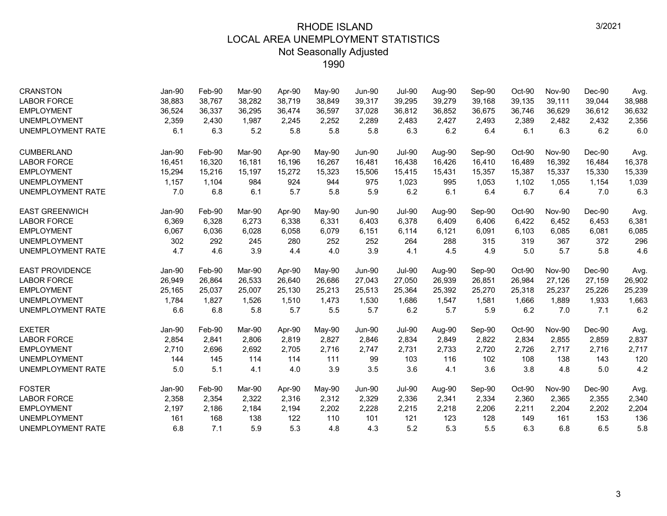| <b>CRANSTON</b>          | Jan-90 | Feb-90 | Mar-90 | Apr-90 | May-90   | <b>Jun-90</b> | <b>Jul-90</b> | Aug-90 | Sep-90 | Oct-90 | <b>Nov-90</b> | Dec-90   | Avg.   |
|--------------------------|--------|--------|--------|--------|----------|---------------|---------------|--------|--------|--------|---------------|----------|--------|
| <b>LABOR FORCE</b>       | 38,883 | 38,767 | 38.282 | 38,719 | 38,849   | 39,317        | 39,295        | 39,279 | 39,168 | 39,135 | 39.111        | 39,044   | 38,988 |
| <b>EMPLOYMENT</b>        | 36,524 | 36,337 | 36,295 | 36,474 | 36,597   | 37,028        | 36,812        | 36,852 | 36,675 | 36,746 | 36,629        | 36,612   | 36,632 |
| <b>UNEMPLOYMENT</b>      | 2,359  | 2.430  | 1,987  | 2,245  | 2,252    | 2,289         | 2,483         | 2,427  | 2,493  | 2,389  | 2,482         | 2,432    | 2,356  |
| <b>UNEMPLOYMENT RATE</b> | 6.1    | 6.3    | 5.2    | 5.8    | 5.8      | 5.8           | 6.3           | 6.2    | 6.4    | 6.1    | 6.3           | 6.2      | 6.0    |
| <b>CUMBERLAND</b>        | Jan-90 | Feb-90 | Mar-90 | Apr-90 | $May-90$ | <b>Jun-90</b> | <b>Jul-90</b> | Aug-90 | Sep-90 | Oct-90 | <b>Nov-90</b> | $Dec-90$ | Avg.   |
| <b>LABOR FORCE</b>       | 16,451 | 16,320 | 16.181 | 16.196 | 16,267   | 16,481        | 16.438        | 16,426 | 16,410 | 16,489 | 16,392        | 16,484   | 16,378 |
| <b>EMPLOYMENT</b>        | 15,294 | 15,216 | 15,197 | 15,272 | 15,323   | 15,506        | 15,415        | 15,431 | 15,357 | 15,387 | 15,337        | 15,330   | 15,339 |
| <b>UNEMPLOYMENT</b>      | 1,157  | 1,104  | 984    | 924    | 944      | 975           | 1,023         | 995    | 1,053  | 1,102  | 1,055         | 1,154    | 1,039  |
| UNEMPLOYMENT RATE        | 7.0    | 6.8    | 6.1    | 5.7    | 5.8      | 5.9           | 6.2           | 6.1    | 6.4    | 6.7    | 6.4           | 7.0      | 6.3    |
| <b>EAST GREENWICH</b>    | Jan-90 | Feb-90 | Mar-90 | Apr-90 | May-90   | Jun-90        | <b>Jul-90</b> | Aug-90 | Sep-90 | Oct-90 | <b>Nov-90</b> | $Dec-90$ | Avg.   |
| <b>LABOR FORCE</b>       | 6,369  | 6,328  | 6,273  | 6,338  | 6,331    | 6,403         | 6,378         | 6,409  | 6,406  | 6,422  | 6,452         | 6,453    | 6,381  |
| <b>EMPLOYMENT</b>        | 6,067  | 6,036  | 6,028  | 6,058  | 6,079    | 6,151         | 6,114         | 6,121  | 6,091  | 6,103  | 6,085         | 6,081    | 6,085  |
| <b>UNEMPLOYMENT</b>      | 302    | 292    | 245    | 280    | 252      | 252           | 264           | 288    | 315    | 319    | 367           | 372      | 296    |
| UNEMPLOYMENT RATE        | 4.7    | 4.6    | 3.9    | 4.4    | 4.0      | 3.9           | 4.1           | 4.5    | 4.9    | 5.0    | 5.7           | 5.8      | 4.6    |
| <b>EAST PROVIDENCE</b>   | Jan-90 | Feb-90 | Mar-90 | Apr-90 | May-90   | <b>Jun-90</b> | <b>Jul-90</b> | Aug-90 | Sep-90 | Oct-90 | <b>Nov-90</b> | Dec-90   | Avg.   |
| <b>LABOR FORCE</b>       | 26,949 | 26,864 | 26,533 | 26,640 | 26,686   | 27,043        | 27,050        | 26,939 | 26,851 | 26,984 | 27,126        | 27,159   | 26,902 |
| <b>EMPLOYMENT</b>        | 25,165 | 25,037 | 25,007 | 25,130 | 25,213   | 25,513        | 25,364        | 25,392 | 25,270 | 25,318 | 25,237        | 25,226   | 25,239 |
| <b>UNEMPLOYMENT</b>      | 1,784  | 1,827  | 1,526  | 1,510  | 1,473    | 1,530         | 1,686         | 1,547  | 1,581  | 1,666  | 1,889         | 1,933    | 1,663  |
| UNEMPLOYMENT RATE        | 6.6    | 6.8    | 5.8    | 5.7    | 5.5      | 5.7           | 6.2           | 5.7    | 5.9    | 6.2    | 7.0           | 7.1      | 6.2    |
| <b>EXETER</b>            | Jan-90 | Feb-90 | Mar-90 | Apr-90 | $May-90$ | <b>Jun-90</b> | <b>Jul-90</b> | Aug-90 | Sep-90 | Oct-90 | <b>Nov-90</b> | $Dec-90$ | Avg.   |
| <b>LABOR FORCE</b>       | 2,854  | 2,841  | 2,806  | 2,819  | 2,827    | 2,846         | 2,834         | 2,849  | 2,822  | 2,834  | 2,855         | 2,859    | 2,837  |
| <b>EMPLOYMENT</b>        | 2,710  | 2,696  | 2,692  | 2,705  | 2.716    | 2,747         | 2,731         | 2,733  | 2,720  | 2,726  | 2,717         | 2,716    | 2,717  |
| <b>UNEMPLOYMENT</b>      | 144    | 145    | 114    | 114    | 111      | 99            | 103           | 116    | 102    | 108    | 138           | 143      | 120    |
| UNEMPLOYMENT RATE        | 5.0    | 5.1    | 4.1    | 4.0    | 3.9      | 3.5           | 3.6           | 4.1    | 3.6    | 3.8    | 4.8           | 5.0      | 4.2    |
| <b>FOSTER</b>            | Jan-90 | Feb-90 | Mar-90 | Apr-90 | May-90   | <b>Jun-90</b> | <b>Jul-90</b> | Aug-90 | Sep-90 | Oct-90 | Nov-90        | $Dec-90$ | Avg.   |
| <b>LABOR FORCE</b>       | 2,358  | 2,354  | 2,322  | 2,316  | 2,312    | 2,329         | 2,336         | 2,341  | 2,334  | 2,360  | 2,365         | 2,355    | 2,340  |
| <b>EMPLOYMENT</b>        | 2,197  | 2,186  | 2,184  | 2,194  | 2,202    | 2,228         | 2,215         | 2,218  | 2,206  | 2,211  | 2,204         | 2,202    | 2,204  |
| <b>UNEMPLOYMENT</b>      | 161    | 168    | 138    | 122    | 110      | 101           | 121           | 123    | 128    | 149    | 161           | 153      | 136    |
| UNEMPLOYMENT RATE        | 6.8    | 7.1    | 5.9    | 5.3    | 4.8      | 4.3           | 5.2           | 5.3    | 5.5    | 6.3    | 6.8           | 6.5      | 5.8    |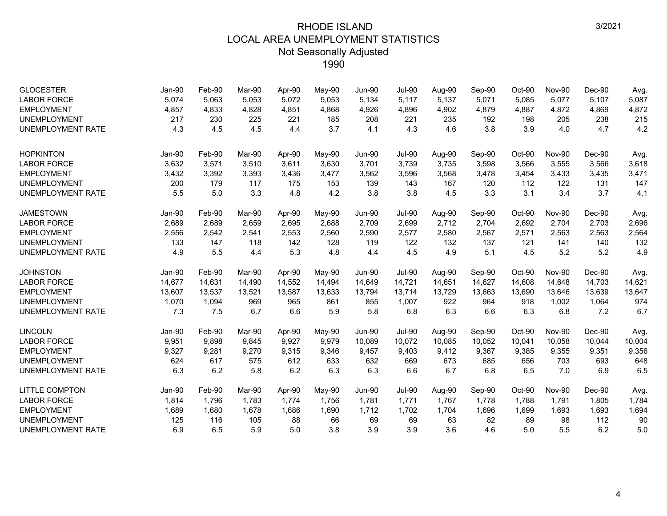| <b>GLOCESTER</b><br><b>LABOR FORCE</b><br><b>EMPLOYMENT</b><br><b>UNEMPLOYMENT</b> | <b>Jan-90</b><br>5,074<br>4,857<br>217 | Feb-90<br>5,063<br>4,833<br>230 | Mar-90<br>5,053<br>4,828<br>225 | Apr-90<br>5,072<br>4,851<br>221 | May-90<br>5,053<br>4,868<br>185 | <b>Jun-90</b><br>5,134<br>4,926<br>208 | <b>Jul-90</b><br>5,117<br>4,896<br>221 | Aug-90<br>5,137<br>4,902<br>235 | Sep-90<br>5,071<br>4,879<br>192 | Oct-90<br>5,085<br>4,887<br>198 | <b>Nov-90</b><br>5,077<br>4,872<br>205 | $Dec-90$<br>5,107<br>4,869<br>238 | Avg.<br>5,087<br>4,872<br>215 |
|------------------------------------------------------------------------------------|----------------------------------------|---------------------------------|---------------------------------|---------------------------------|---------------------------------|----------------------------------------|----------------------------------------|---------------------------------|---------------------------------|---------------------------------|----------------------------------------|-----------------------------------|-------------------------------|
| <b>UNEMPLOYMENT RATE</b>                                                           | 4.3                                    | 4.5                             | 4.5                             | 4.4                             | 3.7                             | 4.1                                    | 4.3                                    | 4.6                             | 3.8                             | 3.9                             | 4.0                                    | 4.7                               | 4.2                           |
| <b>HOPKINTON</b>                                                                   | Jan-90                                 | Feb-90                          | Mar-90                          | Apr-90                          | May-90                          | <b>Jun-90</b>                          | <b>Jul-90</b>                          | Aug-90                          | Sep-90                          | Oct-90                          | <b>Nov-90</b>                          | $Dec-90$                          | Avg.                          |
| <b>LABOR FORCE</b>                                                                 | 3,632                                  | 3,571                           | 3,510                           | 3,611                           | 3,630                           | 3,701                                  | 3,739                                  | 3,735                           | 3,598                           | 3,566                           | 3,555                                  | 3,566                             | 3,618                         |
| <b>EMPLOYMENT</b>                                                                  | 3,432                                  | 3,392                           | 3,393                           | 3,436                           | 3,477                           | 3,562                                  | 3,596                                  | 3,568                           | 3,478                           | 3,454                           | 3,433                                  | 3,435                             | 3,471                         |
| <b>UNEMPLOYMENT</b>                                                                | 200                                    | 179                             | 117                             | 175                             | 153                             | 139                                    | 143                                    | 167                             | 120                             | 112                             | 122                                    | 131                               | 147                           |
| <b>UNEMPLOYMENT RATE</b>                                                           | 5.5                                    | 5.0                             | 3.3                             | 4.8                             | 4.2                             | 3.8                                    | 3.8                                    | 4.5                             | 3.3                             | 3.1                             | 3.4                                    | 3.7                               | 4.1                           |
| <b>JAMESTOWN</b>                                                                   | <b>Jan-90</b>                          | Feb-90                          | Mar-90                          | Apr-90                          | May-90                          | <b>Jun-90</b>                          | <b>Jul-90</b>                          | Aug-90                          | Sep-90                          | Oct-90                          | <b>Nov-90</b>                          | Dec-90                            | Avg.                          |
| <b>LABOR FORCE</b>                                                                 | 2,689                                  | 2,689                           | 2,659                           | 2,695                           | 2,688                           | 2,709                                  | 2,699                                  | 2,712                           | 2,704                           | 2,692                           | 2,704                                  | 2,703                             | 2,696                         |
| <b>EMPLOYMENT</b>                                                                  | 2,556                                  | 2,542                           | 2,541                           | 2,553                           | 2,560                           | 2,590                                  | 2,577                                  | 2,580                           | 2,567                           | 2,571                           | 2,563                                  | 2,563                             | 2,564                         |
| <b>UNEMPLOYMENT</b>                                                                | 133                                    | 147                             | 118                             | 142                             | 128                             | 119                                    | 122                                    | 132                             | 137                             | 121                             | 141                                    | 140                               | 132                           |
| <b>UNEMPLOYMENT RATE</b>                                                           | 4.9                                    | 5.5                             | 4.4                             | 5.3                             | 4.8                             | 4.4                                    | 4.5                                    | 4.9                             | 5.1                             | 4.5                             | 5.2                                    | 5.2                               | 4.9                           |
| <b>JOHNSTON</b>                                                                    | Jan-90                                 | Feb-90                          | Mar-90                          | Apr-90                          | May-90                          | Jun-90                                 | <b>Jul-90</b>                          | Aug-90                          | Sep-90                          | Oct-90                          | <b>Nov-90</b>                          | $Dec-90$                          | Avg.                          |
| <b>LABOR FORCE</b>                                                                 | 14,677                                 | 14,631                          | 14,490                          | 14,552                          | 14,494                          | 14,649                                 | 14,721                                 | 14,651                          | 14,627                          | 14,608                          | 14,648                                 | 14,703                            | 14,621                        |
| <b>EMPLOYMENT</b>                                                                  | 13,607                                 | 13,537                          | 13,521                          | 13,587                          | 13,633                          | 13,794                                 | 13,714                                 | 13,729                          | 13,663                          | 13,690                          | 13,646                                 | 13,639                            | 13,647                        |
| <b>UNEMPLOYMENT</b>                                                                | 1,070                                  | 1,094                           | 969                             | 965                             | 861                             | 855                                    | 1,007                                  | 922                             | 964                             | 918                             | 1.002                                  | 1,064                             | 974                           |
| <b>UNEMPLOYMENT RATE</b>                                                           | 7.3                                    | 7.5                             | 6.7                             | 6.6                             | 5.9                             | 5.8                                    | 6.8                                    | 6.3                             | 6.6                             | 6.3                             | 6.8                                    | 7.2                               | 6.7                           |
| <b>LINCOLN</b>                                                                     | Jan-90                                 | Feb-90                          | Mar-90                          | Apr-90                          | May-90                          | <b>Jun-90</b>                          | <b>Jul-90</b>                          | Aug-90                          | Sep-90                          | Oct-90                          | <b>Nov-90</b>                          | Dec-90                            | Avg.                          |
| <b>LABOR FORCE</b>                                                                 | 9,951                                  | 9,898                           | 9,845                           | 9,927                           | 9,979                           | 10,089                                 | 10,072                                 | 10,085                          | 10,052                          | 10,041                          | 10,058                                 | 10,044                            | 10,004                        |
| <b>EMPLOYMENT</b>                                                                  | 9,327                                  | 9,281                           | 9,270                           | 9,315                           | 9,346                           | 9,457                                  | 9,403                                  | 9,412                           | 9,367                           | 9,385                           | 9,355                                  | 9,351                             | 9,356                         |
| <b>UNEMPLOYMENT</b>                                                                | 624                                    | 617                             | 575                             | 612                             | 633                             | 632                                    | 669                                    | 673                             | 685                             | 656                             | 703                                    | 693                               | 648                           |
| <b>UNEMPLOYMENT RATE</b>                                                           | 6.3                                    | 6.2                             | 5.8                             | 6.2                             | 6.3                             | 6.3                                    | 6.6                                    | 6.7                             | 6.8                             | 6.5                             | 7.0                                    | 6.9                               | 6.5                           |
| <b>LITTLE COMPTON</b>                                                              | Jan-90                                 | Feb-90                          | Mar-90                          | Apr-90                          | May-90                          | Jun-90                                 | <b>Jul-90</b>                          | Aug-90                          | Sep-90                          | Oct-90                          | <b>Nov-90</b>                          | $Dec-90$                          | Avg.                          |
| <b>LABOR FORCE</b>                                                                 | 1,814                                  | 1,796                           | 1,783                           | 1,774                           | 1,756                           | 1,781                                  | 1,771                                  | 1,767                           | 1,778                           | 1,788                           | 1,791                                  | 1,805                             | 1,784                         |
| <b>EMPLOYMENT</b>                                                                  | 1,689                                  | 1,680                           | 1,678                           | 1,686                           | 1,690                           | 1,712                                  | 1,702                                  | 1,704                           | 1,696                           | 1,699                           | 1,693                                  | 1,693                             | 1,694                         |
| <b>UNEMPLOYMENT</b>                                                                | 125                                    | 116                             | 105                             | 88                              | 66                              | 69                                     | 69                                     | 63                              | 82                              | 89                              | 98                                     | 112                               | 90                            |
| <b>UNEMPLOYMENT RATE</b>                                                           | 6.9                                    | 6.5                             | 5.9                             | 5.0                             | 3.8                             | 3.9                                    | 3.9                                    | 3.6                             | 4.6                             | 5.0                             | 5.5                                    | 6.2                               | 5.0                           |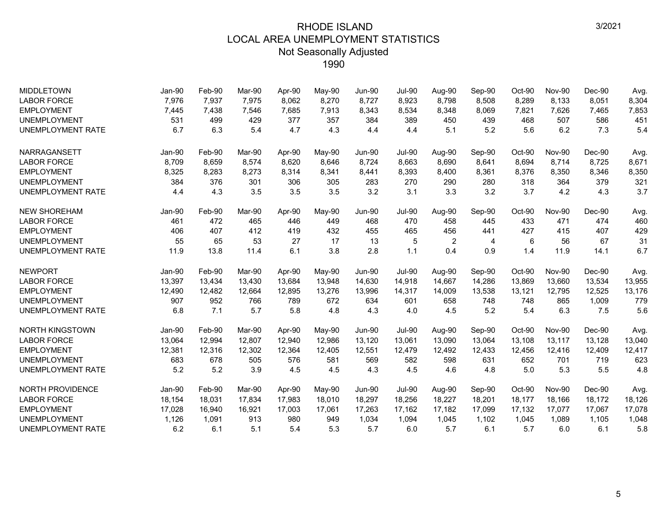| <b>MIDDLETOWN</b>        | Jan-90 | Feb-90 | Mar-90 | Apr-90 | May-90   | <b>Jun-90</b> | <b>Jul-90</b> | Aug-90 | Sep-90 | Oct-90 | <b>Nov-90</b> | Dec-90   | Avg.   |
|--------------------------|--------|--------|--------|--------|----------|---------------|---------------|--------|--------|--------|---------------|----------|--------|
| <b>LABOR FORCE</b>       | 7,976  | 7,937  | 7,975  | 8,062  | 8,270    | 8,727         | 8,923         | 8,798  | 8,508  | 8,289  | 8,133         | 8,051    | 8,304  |
| <b>EMPLOYMENT</b>        | 7,445  | 7,438  | 7,546  | 7,685  | 7,913    | 8,343         | 8,534         | 8,348  | 8,069  | 7,821  | 7,626         | 7,465    | 7,853  |
| <b>UNEMPLOYMENT</b>      | 531    | 499    | 429    | 377    | 357      | 384           | 389           | 450    | 439    | 468    | 507           | 586      | 451    |
| <b>UNEMPLOYMENT RATE</b> | 6.7    | 6.3    | 5.4    | 4.7    | 4.3      | 4.4           | 4.4           | 5.1    | 5.2    | 5.6    | 6.2           | 7.3      | 5.4    |
| NARRAGANSETT             | Jan-90 | Feb-90 | Mar-90 | Apr-90 | $May-90$ | <b>Jun-90</b> | <b>Jul-90</b> | Aug-90 | Sep-90 | Oct-90 | Nov-90        | Dec-90   | Avg.   |
| <b>LABOR FORCE</b>       | 8,709  | 8,659  | 8.574  | 8.620  | 8,646    | 8,724         | 8,663         | 8.690  | 8,641  | 8,694  | 8,714         | 8,725    | 8,671  |
| <b>EMPLOYMENT</b>        | 8,325  | 8,283  | 8,273  | 8,314  | 8,341    | 8,441         | 8,393         | 8,400  | 8,361  | 8,376  | 8,350         | 8,346    | 8,350  |
| <b>UNEMPLOYMENT</b>      | 384    | 376    | 301    | 306    | 305      | 283           | 270           | 290    | 280    | 318    | 364           | 379      | 321    |
| UNEMPLOYMENT RATE        | 4.4    | 4.3    | 3.5    | 3.5    | 3.5      | 3.2           | 3.1           | 3.3    | 3.2    | 3.7    | 4.2           | 4.3      | 3.7    |
| <b>NEW SHOREHAM</b>      | Jan-90 | Feb-90 | Mar-90 | Apr-90 | May-90   | <b>Jun-90</b> | <b>Jul-90</b> | Aug-90 | Sep-90 | Oct-90 | <b>Nov-90</b> | $Dec-90$ | Avg.   |
| <b>LABOR FORCE</b>       | 461    | 472    | 465    | 446    | 449      | 468           | 470           | 458    | 445    | 433    | 471           | 474      | 460    |
| <b>EMPLOYMENT</b>        | 406    | 407    | 412    | 419    | 432      | 455           | 465           | 456    | 441    | 427    | 415           | 407      | 429    |
| <b>UNEMPLOYMENT</b>      | 55     | 65     | 53     | 27     | 17       | 13            | 5             | 2      | 4      | 6      | 56            | 67       | 31     |
| UNEMPLOYMENT RATE        | 11.9   | 13.8   | 11.4   | 6.1    | 3.8      | 2.8           | 1.1           | 0.4    | 0.9    | 1.4    | 11.9          | 14.1     | 6.7    |
| <b>NEWPORT</b>           | Jan-90 | Feb-90 | Mar-90 | Apr-90 | May-90   | <b>Jun-90</b> | <b>Jul-90</b> | Aug-90 | Sep-90 | Oct-90 | <b>Nov-90</b> | $Dec-90$ | Avg.   |
| <b>LABOR FORCE</b>       | 13,397 | 13,434 | 13,430 | 13,684 | 13,948   | 14,630        | 14,918        | 14,667 | 14,286 | 13,869 | 13,660        | 13,534   | 13,955 |
| <b>EMPLOYMENT</b>        | 12,490 | 12,482 | 12,664 | 12,895 | 13,276   | 13,996        | 14,317        | 14,009 | 13,538 | 13,121 | 12,795        | 12,525   | 13,176 |
| <b>UNEMPLOYMENT</b>      | 907    | 952    | 766    | 789    | 672      | 634           | 601           | 658    | 748    | 748    | 865           | 1,009    | 779    |
| <b>UNEMPLOYMENT RATE</b> | 6.8    | 7.1    | 5.7    | 5.8    | 4.8      | 4.3           | 4.0           | 4.5    | 5.2    | 5.4    | 6.3           | 7.5      | 5.6    |
| <b>NORTH KINGSTOWN</b>   | Jan-90 | Feb-90 | Mar-90 | Apr-90 | May-90   | <b>Jun-90</b> | <b>Jul-90</b> | Aug-90 | Sep-90 | Oct-90 | Nov-90        | Dec-90   | Avg.   |
| <b>LABOR FORCE</b>       | 13,064 | 12,994 | 12,807 | 12,940 | 12,986   | 13,120        | 13,061        | 13,090 | 13,064 | 13,108 | 13,117        | 13,128   | 13,040 |
| <b>EMPLOYMENT</b>        | 12,381 | 12,316 | 12,302 | 12,364 | 12,405   | 12,551        | 12,479        | 12,492 | 12,433 | 12,456 | 12,416        | 12,409   | 12,417 |
| <b>UNEMPLOYMENT</b>      | 683    | 678    | 505    | 576    | 581      | 569           | 582           | 598    | 631    | 652    | 701           | 719      | 623    |
| UNEMPLOYMENT RATE        | 5.2    | 5.2    | 3.9    | 4.5    | 4.5      | 4.3           | 4.5           | 4.6    | 4.8    | 5.0    | 5.3           | 5.5      | 4.8    |
| <b>NORTH PROVIDENCE</b>  | Jan-90 | Feb-90 | Mar-90 | Apr-90 | May-90   | <b>Jun-90</b> | <b>Jul-90</b> | Aug-90 | Sep-90 | Oct-90 | Nov-90        | $Dec-90$ | Avg.   |
| <b>LABOR FORCE</b>       | 18,154 | 18,031 | 17,834 | 17,983 | 18,010   | 18,297        | 18,256        | 18,227 | 18,201 | 18,177 | 18,166        | 18,172   | 18,126 |
| <b>EMPLOYMENT</b>        | 17,028 | 16,940 | 16,921 | 17,003 | 17,061   | 17,263        | 17,162        | 17,182 | 17,099 | 17,132 | 17,077        | 17,067   | 17,078 |
| <b>UNEMPLOYMENT</b>      | 1,126  | 1,091  | 913    | 980    | 949      | 1,034         | 1,094         | 1,045  | 1,102  | 1,045  | 1,089         | 1,105    | 1,048  |
| <b>UNEMPLOYMENT RATE</b> | 6.2    | 6.1    | 5.1    | 5.4    | 5.3      | 5.7           | 6.0           | 5.7    | 6.1    | 5.7    | 6.0           | 6.1      | 5.8    |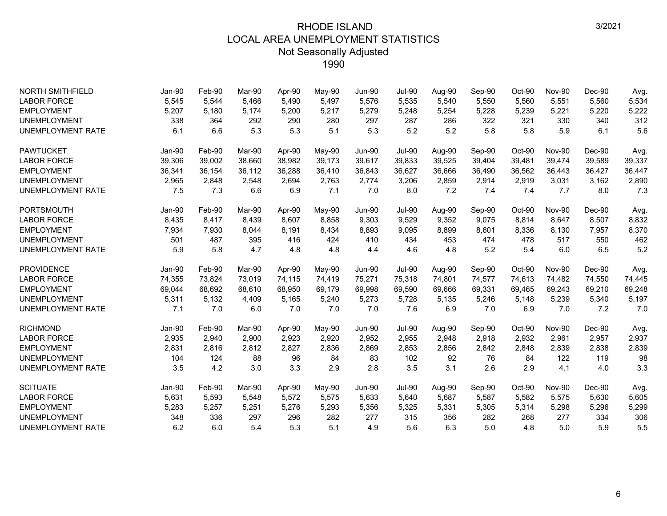| <b>NORTH SMITHFIELD</b>  | Jan-90 | Feb-90 | Mar-90 | Apr-90 | May-90 | Jun-90        | <b>Jul-90</b> | Aug-90 | Sep-90 | Oct-90 | <b>Nov-90</b> | Dec-90   | Avg.   |
|--------------------------|--------|--------|--------|--------|--------|---------------|---------------|--------|--------|--------|---------------|----------|--------|
| <b>LABOR FORCE</b>       | 5,545  | 5,544  | 5.466  | 5,490  | 5,497  | 5,576         | 5,535         | 5,540  | 5,550  | 5,560  | 5,551         | 5,560    | 5,534  |
| <b>EMPLOYMENT</b>        | 5,207  | 5,180  | 5,174  | 5,200  | 5,217  | 5,279         | 5,248         | 5,254  | 5,228  | 5,239  | 5,221         | 5,220    | 5,222  |
| <b>UNEMPLOYMENT</b>      | 338    | 364    | 292    | 290    | 280    | 297           | 287           | 286    | 322    | 321    | 330           | 340      | 312    |
| <b>UNEMPLOYMENT RATE</b> | 6.1    | 6.6    | 5.3    | 5.3    | 5.1    | 5.3           | 5.2           | 5.2    | 5.8    | 5.8    | 5.9           | 6.1      | 5.6    |
| <b>PAWTUCKET</b>         | Jan-90 | Feb-90 | Mar-90 | Apr-90 | May-90 | <b>Jun-90</b> | <b>Jul-90</b> | Aug-90 | Sep-90 | Oct-90 | <b>Nov-90</b> | $Dec-90$ | Avg.   |
| <b>LABOR FORCE</b>       | 39,306 | 39,002 | 38,660 | 38,982 | 39,173 | 39,617        | 39,833        | 39,525 | 39,404 | 39,481 | 39,474        | 39,589   | 39,337 |
| <b>EMPLOYMENT</b>        | 36,341 | 36,154 | 36,112 | 36,288 | 36,410 | 36,843        | 36,627        | 36,666 | 36,490 | 36,562 | 36,443        | 36,427   | 36,447 |
| <b>UNEMPLOYMENT</b>      | 2,965  | 2,848  | 2,548  | 2,694  | 2,763  | 2,774         | 3,206         | 2,859  | 2,914  | 2,919  | 3,031         | 3,162    | 2,890  |
| <b>UNEMPLOYMENT RATE</b> | 7.5    | 7.3    | 6.6    | 6.9    | 7.1    | 7.0           | 8.0           | 7.2    | 7.4    | 7.4    | 7.7           | 8.0      | 7.3    |
| PORTSMOUTH               | Jan-90 | Feb-90 | Mar-90 | Apr-90 | May-90 | <b>Jun-90</b> | <b>Jul-90</b> | Aug-90 | Sep-90 | Oct-90 | <b>Nov-90</b> | $Dec-90$ | Avg.   |
| <b>LABOR FORCE</b>       | 8,435  | 8,417  | 8,439  | 8,607  | 8,858  | 9,303         | 9,529         | 9,352  | 9,075  | 8,814  | 8,647         | 8,507    | 8,832  |
| <b>EMPLOYMENT</b>        | 7,934  | 7,930  | 8,044  | 8,191  | 8,434  | 8,893         | 9,095         | 8,899  | 8,601  | 8,336  | 8,130         | 7,957    | 8,370  |
| <b>UNEMPLOYMENT</b>      | 501    | 487    | 395    | 416    | 424    | 410           | 434           | 453    | 474    | 478    | 517           | 550      | 462    |
| <b>UNEMPLOYMENT RATE</b> | 5.9    | 5.8    | 4.7    | 4.8    | 4.8    | 4.4           | 4.6           | 4.8    | 5.2    | 5.4    | 6.0           | 6.5      | 5.2    |
| <b>PROVIDENCE</b>        | Jan-90 | Feb-90 | Mar-90 | Apr-90 | May-90 | <b>Jun-90</b> | <b>Jul-90</b> | Aug-90 | Sep-90 | Oct-90 | <b>Nov-90</b> | $Dec-90$ | Avg.   |
| <b>LABOR FORCE</b>       | 74,355 | 73,824 | 73,019 | 74,115 | 74,419 | 75,271        | 75,318        | 74,801 | 74,577 | 74,613 | 74,482        | 74,550   | 74,445 |
| <b>EMPLOYMENT</b>        | 69,044 | 68.692 | 68.610 | 68,950 | 69,179 | 69,998        | 69.590        | 69.666 | 69,331 | 69.465 | 69.243        | 69,210   | 69,248 |
| <b>UNEMPLOYMENT</b>      | 5,311  | 5,132  | 4,409  | 5,165  | 5,240  | 5,273         | 5,728         | 5,135  | 5,246  | 5,148  | 5,239         | 5,340    | 5,197  |
| <b>UNEMPLOYMENT RATE</b> | 7.1    | 7.0    | 6.0    | 7.0    | 7.0    | 7.0           | 7.6           | 6.9    | 7.0    | 6.9    | 7.0           | 7.2      | 7.0    |
| <b>RICHMOND</b>          | Jan-90 | Feb-90 | Mar-90 | Apr-90 | May-90 | <b>Jun-90</b> | <b>Jul-90</b> | Aug-90 | Sep-90 | Oct-90 | <b>Nov-90</b> | Dec-90   | Avg.   |
| <b>LABOR FORCE</b>       | 2,935  | 2,940  | 2,900  | 2,923  | 2,920  | 2,952         | 2,955         | 2,948  | 2,918  | 2,932  | 2,961         | 2,957    | 2,937  |
| <b>EMPLOYMENT</b>        | 2,831  | 2,816  | 2,812  | 2,827  | 2,836  | 2,869         | 2,853         | 2,856  | 2,842  | 2,848  | 2,839         | 2,838    | 2,839  |
| <b>UNEMPLOYMENT</b>      | 104    | 124    | 88     | 96     | 84     | 83            | 102           | 92     | 76     | 84     | 122           | 119      | 98     |
| <b>UNEMPLOYMENT RATE</b> | 3.5    | 4.2    | 3.0    | 3.3    | 2.9    | 2.8           | 3.5           | 3.1    | 2.6    | 2.9    | 4.1           | 4.0      | 3.3    |
| <b>SCITUATE</b>          | Jan-90 | Feb-90 | Mar-90 | Apr-90 | May-90 | <b>Jun-90</b> | <b>Jul-90</b> | Aug-90 | Sep-90 | Oct-90 | <b>Nov-90</b> | $Dec-90$ | Avg.   |
| <b>LABOR FORCE</b>       | 5,631  | 5,593  | 5,548  | 5,572  | 5,575  | 5,633         | 5,640         | 5,687  | 5,587  | 5,582  | 5,575         | 5,630    | 5,605  |
| <b>EMPLOYMENT</b>        | 5,283  | 5,257  | 5,251  | 5,276  | 5,293  | 5,356         | 5,325         | 5,331  | 5,305  | 5,314  | 5,298         | 5,296    | 5,299  |
| <b>UNEMPLOYMENT</b>      | 348    | 336    | 297    | 296    | 282    | 277           | 315           | 356    | 282    | 268    | 277           | 334      | 306    |
| <b>UNEMPLOYMENT RATE</b> | 6.2    | 6.0    | 5.4    | 5.3    | 5.1    | 4.9           | 5.6           | 6.3    | 5.0    | 4.8    | 5.0           | 5.9      | 5.5    |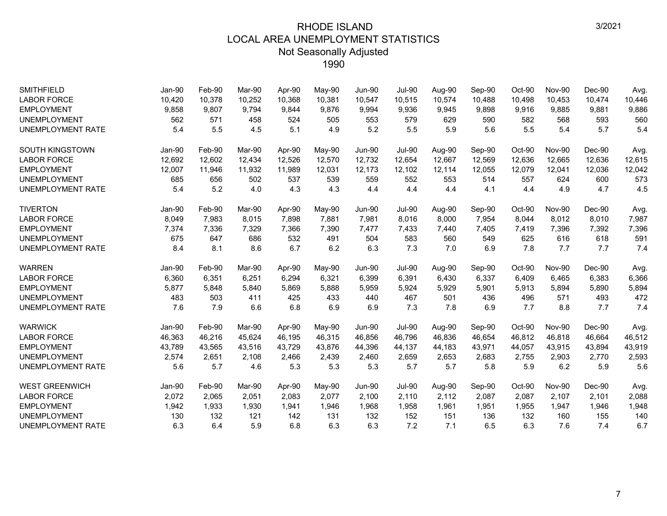| <b>SMITHFIELD</b>        | Jan-90        | Feb-90 | Mar-90 | Apr-90 | May-90 | <b>Jun-90</b> | <b>Jul-90</b> | Aug-90 | Sep-90 | Oct-90 | <b>Nov-90</b> | Dec-90   | Avg.   |
|--------------------------|---------------|--------|--------|--------|--------|---------------|---------------|--------|--------|--------|---------------|----------|--------|
| <b>LABOR FORCE</b>       | 10,420        | 10,378 | 10,252 | 10,368 | 10,381 | 10,547        | 10,515        | 10,574 | 10,488 | 10,498 | 10.453        | 10,474   | 10,446 |
| <b>EMPLOYMENT</b>        | 9,858         | 9,807  | 9,794  | 9,844  | 9,876  | 9,994         | 9,936         | 9,945  | 9,898  | 9,916  | 9,885         | 9,881    | 9,886  |
| <b>UNEMPLOYMENT</b>      | 562           | 571    | 458    | 524    | 505    | 553           | 579           | 629    | 590    | 582    | 568           | 593      | 560    |
| <b>UNEMPLOYMENT RATE</b> | 5.4           | 5.5    | 4.5    | 5.1    | 4.9    | 5.2           | 5.5           | 5.9    | 5.6    | 5.5    | 5.4           | 5.7      | 5.4    |
| <b>SOUTH KINGSTOWN</b>   | <b>Jan-90</b> | Feb-90 | Mar-90 | Apr-90 | May-90 | <b>Jun-90</b> | <b>Jul-90</b> | Aug-90 | Sep-90 | Oct-90 | <b>Nov-90</b> | Dec-90   | Avg.   |
| <b>LABOR FORCE</b>       | 12,692        | 12,602 | 12,434 | 12,526 | 12,570 | 12,732        | 12,654        | 12,667 | 12,569 | 12,636 | 12,665        | 12,636   | 12,615 |
| <b>EMPLOYMENT</b>        | 12,007        | 11,946 | 11,932 | 11,989 | 12,031 | 12,173        | 12,102        | 12,114 | 12,055 | 12,079 | 12,041        | 12,036   | 12,042 |
| <b>UNEMPLOYMENT</b>      | 685           | 656    | 502    | 537    | 539    | 559           | 552           | 553    | 514    | 557    | 624           | 600      | 573    |
| <b>UNEMPLOYMENT RATE</b> | 5.4           | 5.2    | 4.0    | 4.3    | 4.3    | 4.4           | 4.4           | 4.4    | 4.1    | 4.4    | 4.9           | 4.7      | 4.5    |
| <b>TIVERTON</b>          | Jan-90        | Feb-90 | Mar-90 | Apr-90 | May-90 | <b>Jun-90</b> | <b>Jul-90</b> | Aug-90 | Sep-90 | Oct-90 | <b>Nov-90</b> | $Dec-90$ | Avg.   |
| <b>LABOR FORCE</b>       | 8,049         | 7,983  | 8.015  | 7,898  | 7,881  | 7,981         | 8,016         | 8,000  | 7,954  | 8,044  | 8,012         | 8,010    | 7,987  |
| <b>EMPLOYMENT</b>        | 7,374         | 7,336  | 7,329  | 7,366  | 7,390  | 7,477         | 7,433         | 7,440  | 7,405  | 7,419  | 7,396         | 7,392    | 7,396  |
| <b>UNEMPLOYMENT</b>      | 675           | 647    | 686    | 532    | 491    | 504           | 583           | 560    | 549    | 625    | 616           | 618      | 591    |
| <b>UNEMPLOYMENT RATE</b> | 8.4           | 8.1    | 8.6    | 6.7    | 6.2    | 6.3           | 7.3           | 7.0    | 6.9    | 7.8    | 7.7           | 7.7      | 7.4    |
| <b>WARREN</b>            | Jan-90        | Feb-90 | Mar-90 | Apr-90 | May-90 | Jun-90        | <b>Jul-90</b> | Aug-90 | Sep-90 | Oct-90 | <b>Nov-90</b> | $Dec-90$ | Avg.   |
| <b>LABOR FORCE</b>       | 6,360         | 6,351  | 6,251  | 6,294  | 6,321  | 6,399         | 6,391         | 6,430  | 6,337  | 6,409  | 6,465         | 6,383    | 6,366  |
| <b>EMPLOYMENT</b>        | 5,877         | 5,848  | 5,840  | 5,869  | 5,888  | 5,959         | 5,924         | 5,929  | 5,901  | 5,913  | 5,894         | 5,890    | 5,894  |
| <b>UNEMPLOYMENT</b>      | 483           | 503    | 411    | 425    | 433    | 440           | 467           | 501    | 436    | 496    | 571           | 493      | 472    |
| <b>UNEMPLOYMENT RATE</b> | 7.6           | 7.9    | 6.6    | 6.8    | 6.9    | 6.9           | 7.3           | 7.8    | 6.9    | 7.7    | 8.8           | 7.7      | 7.4    |
| <b>WARWICK</b>           | Jan-90        | Feb-90 | Mar-90 | Apr-90 | May-90 | Jun-90        | <b>Jul-90</b> | Aug-90 | Sep-90 | Oct-90 | <b>Nov-90</b> | $Dec-90$ | Avg.   |
| <b>LABOR FORCE</b>       | 46,363        | 46,216 | 45.624 | 46.195 | 46,315 | 46,856        | 46.796        | 46,836 | 46,654 | 46,812 | 46.818        | 46.664   | 46,512 |
| <b>EMPLOYMENT</b>        | 43,789        | 43,565 | 43,516 | 43,729 | 43,876 | 44,396        | 44,137        | 44,183 | 43,971 | 44,057 | 43,915        | 43,894   | 43,919 |
| <b>UNEMPLOYMENT</b>      | 2,574         | 2,651  | 2,108  | 2,466  | 2,439  | 2,460         | 2,659         | 2,653  | 2,683  | 2,755  | 2,903         | 2,770    | 2,593  |
| <b>UNEMPLOYMENT RATE</b> | 5.6           | 5.7    | 4.6    | 5.3    | 5.3    | 5.3           | 5.7           | 5.7    | 5.8    | 5.9    | 6.2           | 5.9      | 5.6    |
| <b>WEST GREENWICH</b>    | Jan-90        | Feb-90 | Mar-90 | Apr-90 | May-90 | <b>Jun-90</b> | <b>Jul-90</b> | Aug-90 | Sep-90 | Oct-90 | <b>Nov-90</b> | $Dec-90$ | Avg.   |
| <b>LABOR FORCE</b>       | 2,072         | 2,065  | 2,051  | 2,083  | 2,077  | 2,100         | 2,110         | 2,112  | 2,087  | 2,087  | 2,107         | 2,101    | 2,088  |
| <b>EMPLOYMENT</b>        | 1,942         | 1,933  | 1,930  | 1,941  | 1,946  | 1,968         | 1,958         | 1,961  | 1,951  | 1,955  | 1,947         | 1,946    | 1,948  |
| <b>UNEMPLOYMENT</b>      | 130           | 132    | 121    | 142    | 131    | 132           | 152           | 151    | 136    | 132    | 160           | 155      | 140    |
| <b>UNEMPLOYMENT RATE</b> | 6.3           | 6.4    | 5.9    | 6.8    | 6.3    | 6.3           | 7.2           | 7.1    | 6.5    | 6.3    | 7.6           | 7.4      | 6.7    |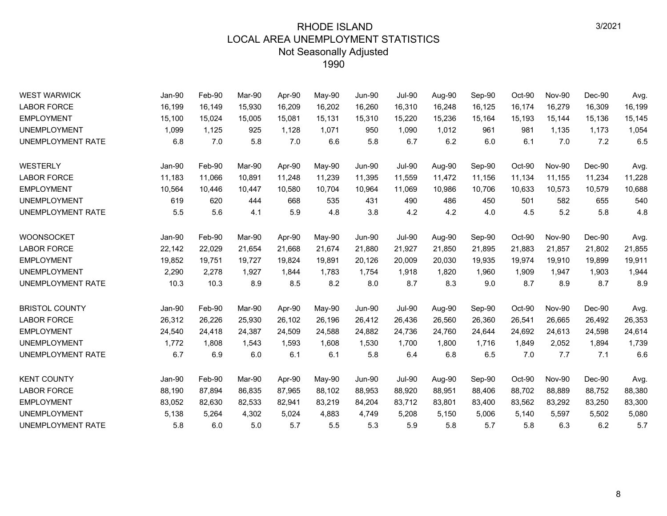| <b>WEST WARWICK</b>      | Jan-90   | Feb-90 | Mar-90 | Apr-90 | May-90 | <b>Jun-90</b> | <b>Jul-90</b> | Aug-90 | Sep-90 | Oct-90 | <b>Nov-90</b> | Dec-90   | Avg.   |
|--------------------------|----------|--------|--------|--------|--------|---------------|---------------|--------|--------|--------|---------------|----------|--------|
| <b>LABOR FORCE</b>       | 16,199   | 16,149 | 15,930 | 16,209 | 16,202 | 16,260        | 16,310        | 16,248 | 16,125 | 16,174 | 16,279        | 16,309   | 16,199 |
| <b>EMPLOYMENT</b>        | 15,100   | 15,024 | 15,005 | 15,081 | 15,131 | 15,310        | 15,220        | 15,236 | 15,164 | 15,193 | 15,144        | 15,136   | 15,145 |
| <b>UNEMPLOYMENT</b>      | 1,099    | 1,125  | 925    | 1,128  | 1,071  | 950           | 1,090         | 1,012  | 961    | 981    | 1.135         | 1,173    | 1,054  |
| <b>UNEMPLOYMENT RATE</b> | 6.8      | 7.0    | 5.8    | 7.0    | 6.6    | 5.8           | 6.7           | 6.2    | 6.0    | 6.1    | 7.0           | 7.2      | 6.5    |
| WESTERLY                 | Jan-90   | Feb-90 | Mar-90 | Apr-90 | May-90 | <b>Jun-90</b> | <b>Jul-90</b> | Aug-90 | Sep-90 | Oct-90 | <b>Nov-90</b> | Dec-90   | Avg.   |
| <b>LABOR FORCE</b>       | 11,183   | 11,066 | 10,891 | 11,248 | 11,239 | 11,395        | 11,559        | 11,472 | 11,156 | 11,134 | 11,155        | 11,234   | 11,228 |
| <b>EMPLOYMENT</b>        | 10,564   | 10,446 | 10,447 | 10,580 | 10,704 | 10,964        | 11,069        | 10,986 | 10,706 | 10,633 | 10,573        | 10,579   | 10,688 |
| <b>UNEMPLOYMENT</b>      | 619      | 620    | 444    | 668    | 535    | 431           | 490           | 486    | 450    | 501    | 582           | 655      | 540    |
| UNEMPLOYMENT RATE        | 5.5      | 5.6    | 4.1    | 5.9    | 4.8    | 3.8           | 4.2           | 4.2    | 4.0    | 4.5    | 5.2           | 5.8      | 4.8    |
| <b>WOONSOCKET</b>        | Jan-90   | Feb-90 | Mar-90 | Apr-90 | May-90 | <b>Jun-90</b> | <b>Jul-90</b> | Aug-90 | Sep-90 | Oct-90 | <b>Nov-90</b> | $Dec-90$ | Avg.   |
| <b>LABOR FORCE</b>       | 22,142   | 22,029 | 21,654 | 21,668 | 21,674 | 21,880        | 21,927        | 21,850 | 21,895 | 21,883 | 21,857        | 21,802   | 21,855 |
| <b>EMPLOYMENT</b>        | 19,852   | 19,751 | 19,727 | 19,824 | 19,891 | 20,126        | 20,009        | 20,030 | 19,935 | 19,974 | 19,910        | 19,899   | 19,911 |
| <b>UNEMPLOYMENT</b>      | 2,290    | 2,278  | 1,927  | 1,844  | 1,783  | 1,754         | 1,918         | 1,820  | 1,960  | 1,909  | 1,947         | 1,903    | 1,944  |
| <b>UNEMPLOYMENT RATE</b> | 10.3     | 10.3   | 8.9    | 8.5    | 8.2    | 8.0           | 8.7           | 8.3    | 9.0    | 8.7    | 8.9           | 8.7      | 8.9    |
| <b>BRISTOL COUNTY</b>    | Jan-90   | Feb-90 | Mar-90 | Apr-90 | May-90 | <b>Jun-90</b> | <b>Jul-90</b> | Aug-90 | Sep-90 | Oct-90 | <b>Nov-90</b> | Dec-90   | Avg.   |
| <b>LABOR FORCE</b>       | 26,312   | 26,226 | 25,930 | 26,102 | 26,196 | 26,412        | 26,436        | 26,560 | 26,360 | 26,541 | 26,665        | 26,492   | 26,353 |
| <b>EMPLOYMENT</b>        | 24,540   | 24,418 | 24,387 | 24,509 | 24,588 | 24,882        | 24,736        | 24,760 | 24,644 | 24,692 | 24,613        | 24,598   | 24,614 |
| <b>UNEMPLOYMENT</b>      | 1,772    | 1,808  | 1,543  | 1,593  | 1,608  | 1,530         | 1,700         | 1,800  | 1,716  | 1,849  | 2,052         | 1,894    | 1,739  |
| UNEMPLOYMENT RATE        | 6.7      | 6.9    | 6.0    | 6.1    | 6.1    | 5.8           | 6.4           | 6.8    | 6.5    | 7.0    | 7.7           | 7.1      | 6.6    |
| <b>KENT COUNTY</b>       | $Jan-90$ | Feb-90 | Mar-90 | Apr-90 | May-90 | <b>Jun-90</b> | <b>Jul-90</b> | Aug-90 | Sep-90 | Oct-90 | <b>Nov-90</b> | $Dec-90$ | Avg.   |
| <b>LABOR FORCE</b>       | 88,190   | 87,894 | 86,835 | 87,965 | 88,102 | 88,953        | 88,920        | 88,951 | 88,406 | 88,702 | 88,889        | 88,752   | 88,380 |
| <b>EMPLOYMENT</b>        | 83,052   | 82,630 | 82,533 | 82,941 | 83,219 | 84,204        | 83,712        | 83,801 | 83,400 | 83,562 | 83,292        | 83,250   | 83,300 |
| <b>UNEMPLOYMENT</b>      | 5,138    | 5,264  | 4,302  | 5,024  | 4,883  | 4,749         | 5,208         | 5,150  | 5,006  | 5,140  | 5,597         | 5,502    | 5,080  |
| UNEMPLOYMENT RATE        | 5.8      | 6.0    | 5.0    | 5.7    | 5.5    | 5.3           | 5.9           | 5.8    | 5.7    | 5.8    | 6.3           | 6.2      | 5.7    |